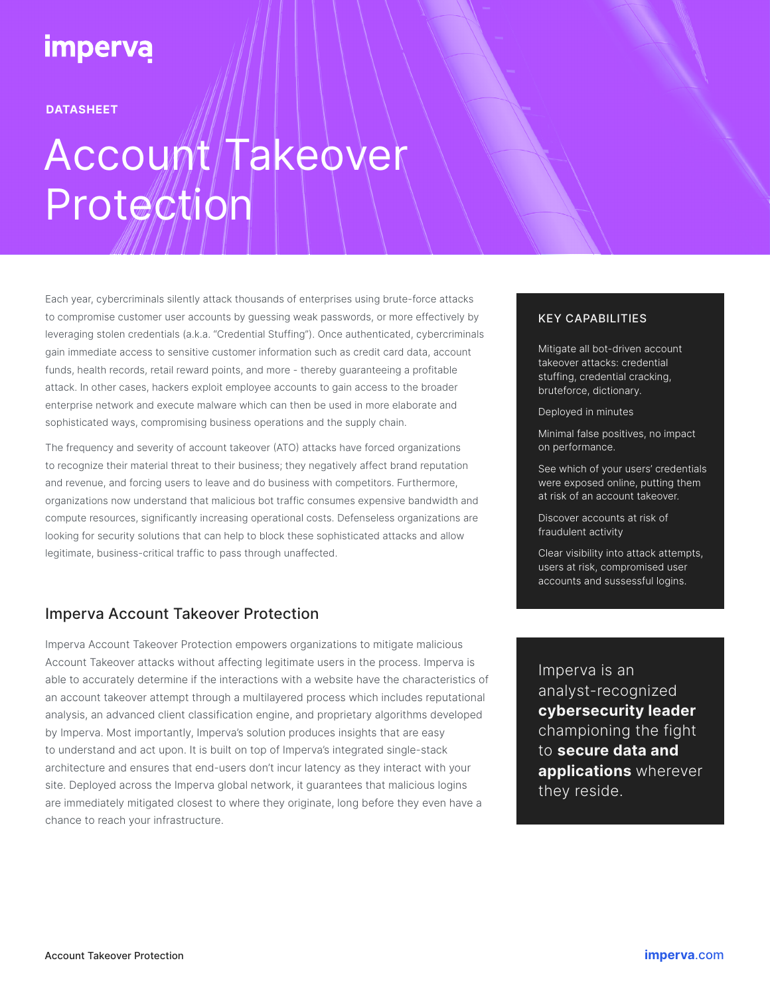# **imperva**

**DATASHEET**

# Account/Takeover Protection

Each year, cybercriminals silently attack thousands of enterprises using brute-force attacks to compromise customer user accounts by guessing weak passwords, or more effectively by leveraging stolen credentials (a.k.a. "Credential Stuffing"). Once authenticated, cybercriminals gain immediate access to sensitive customer information such as credit card data, account funds, health records, retail reward points, and more - thereby guaranteeing a profitable attack. In other cases, hackers exploit employee accounts to gain access to the broader enterprise network and execute malware which can then be used in more elaborate and sophisticated ways, compromising business operations and the supply chain.

The frequency and severity of account takeover (ATO) attacks have forced organizations to recognize their material threat to their business; they negatively affect brand reputation and revenue, and forcing users to leave and do business with competitors. Furthermore, organizations now understand that malicious bot traffic consumes expensive bandwidth and compute resources, significantly increasing operational costs. Defenseless organizations are looking for security solutions that can help to block these sophisticated attacks and allow legitimate, business-critical traffic to pass through unaffected.

## Imperva Account Takeover Protection

Imperva Account Takeover Protection empowers organizations to mitigate malicious Account Takeover attacks without affecting legitimate users in the process. Imperva is able to accurately determine if the interactions with a website have the characteristics of an account takeover attempt through a multilayered process which includes reputational analysis, an advanced client classification engine, and proprietary algorithms developed by Imperva. Most importantly, Imperva's solution produces insights that are easy to understand and act upon. It is built on top of Imperva's integrated single-stack architecture and ensures that end-users don't incur latency as they interact with your site. Deployed across the Imperva global network, it guarantees that malicious logins are immediately mitigated closest to where they originate, long before they even have a chance to reach your infrastructure.

#### KEY CAPABILITIES

Mitigate all bot-driven account takeover attacks: credential stuffing, credential cracking, bruteforce, dictionary.

Deployed in minutes

Minimal false positives, no impact on performance.

See which of your users' credentials were exposed online, putting them at risk of an account takeover.

Discover accounts at risk of fraudulent activity

Clear visibility into attack attempts, users at risk, compromised user accounts and sussessful logins.

Imperva is an analyst-recognized **cybersecurity leader**  championing the fight to **secure data and applications** wherever they reside.